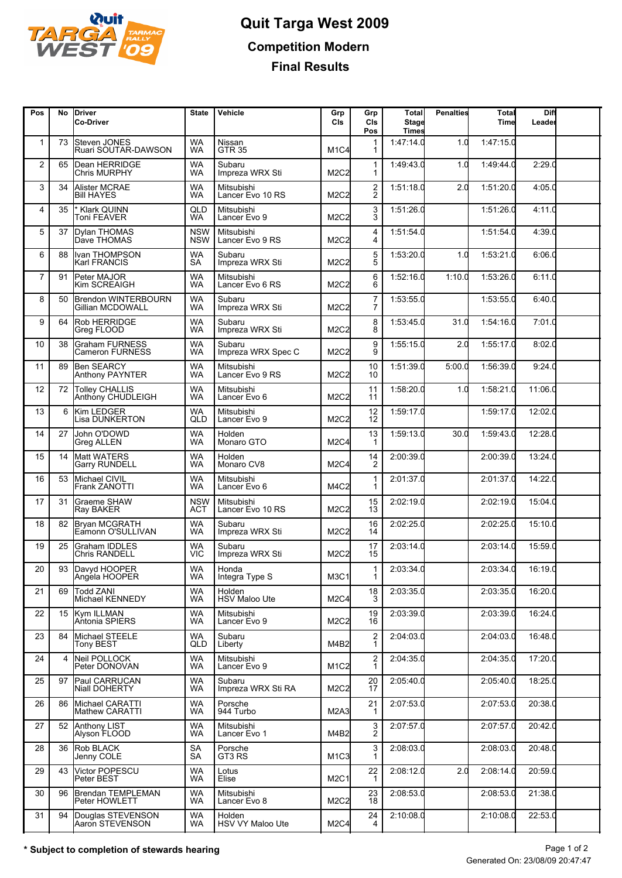

## **Quit Targa West 2009 Competition Modern Final Results**

| Pos            | No             | <b>IDriver</b><br><b>Co-Driver</b>           | <b>State</b>             | Vehicle                        | Grp<br>CIs                    | Grp<br>CIs<br>Pos                | <b>Total</b><br><b>Stage</b><br><b>Times</b> | <b>Penalties</b> | Total<br>Time | Diff<br>Leader |  |
|----------------|----------------|----------------------------------------------|--------------------------|--------------------------------|-------------------------------|----------------------------------|----------------------------------------------|------------------|---------------|----------------|--|
| 1              | 73             | <b>Steven JONES</b><br>Ruari SOUTAR-DAWSON   | <b>WA</b><br>WA          | Nissan<br><b>GTR 35</b>        | M <sub>1</sub> C4             | $\mathbf 1$                      | 1:47:14.0                                    | 1.0              | 1:47:15.0     |                |  |
| 2              | 65             | Dean HERRIDGE<br><b>Chris MURPHY</b>         | <b>WA</b><br><b>WA</b>   | Subaru<br>Impreza WRX Sti      | M2C2                          | 1                                | 1:49:43.0                                    | 1.0              | 1:49:44.0     | 2:29.0         |  |
| 3              | 34             | Alister MCRAE<br><b>Bill HAYES</b>           | <b>WA</b><br><b>WA</b>   | Mitsubishi<br>Lancer Evo 10 RS | M2C2                          | $\overline{c}$<br>$\overline{c}$ | 1:51:18.0                                    | 2.0              | 1:51:20.0     | 4:05.0         |  |
| 4              | 35             | * Klark QUINN<br>Toni FEAVER                 | QLD<br>WA.               | Mitsubishi<br>Lancer Evo 9     | M2C2                          | $\frac{3}{3}$                    | 1:51:26.0                                    |                  | 1:51:26.0     | 4:11.0         |  |
| 5              | 37             | Dylan THOMAS<br>Dave THOMAS                  | <b>NSW</b><br><b>NSW</b> | Mitsubishi<br>Lancer Evo 9 RS  | M <sub>2</sub> C <sub>2</sub> | 4<br>4                           | 1:51:54.0                                    |                  | 1:51:54.0     | 4:39.0         |  |
| 6              | 88             | Ivan THOMPSON<br>Karl FRANCIS                | <b>WA</b><br>SA          | Subaru<br>Impreza WRX Sti      | M2C2                          | 5<br>5                           | 1:53:20.0                                    | 1.0              | 1:53:21.0     | 6:06.0         |  |
| $\overline{7}$ | 91             | Peter MAJOR<br>Kim SCREAIGH                  | WA<br>WA.                | Mitsubishi<br>Lancer Evo 6 RS  | M2C2                          | 6<br>6                           | 1:52:16.0                                    | 1:10.0           | 1:53:26.0     | 6:11.0         |  |
| 8              | 50             | Brendon WINTERBOURN<br>Gillian MCDOWALL      | <b>WA</b><br><b>WA</b>   | Subaru<br>Impreza WRX Sti      | M2C2                          | 7<br>7                           | 1:53:55.0                                    |                  | 1:53:55.0     | 6:40.0         |  |
| 9              | 64             | Rob HERRIDGE<br>Greg FLOOD                   | <b>WA</b><br><b>WA</b>   | Subaru<br>Impreza WRX Sti      | M2C2                          | 8<br>8                           | 1:53:45.0                                    | 31.0             | 1:54:16.0     | 7:01.0         |  |
| 10             | 38             | Graham FURNESS<br>Cameron FURNESS            | WA<br>WA                 | Subaru<br>Impreza WRX Spec C   | M2C2                          | 9<br>9                           | 1:55:15.0                                    | 2.0              | 1:55:17.0     | 8:02.0         |  |
| 11             | 89             | Ben SEARCY<br><b>Anthony PAYNTER</b>         | <b>WA</b><br><b>WA</b>   | Mitsubishi<br>Lancer Evo 9 RS  | M <sub>2</sub> C <sub>2</sub> | 10<br>10                         | 1:51:39.0                                    | 5:00.0           | 1:56:39.0     | 9:24.0         |  |
| 12             | 72             | Tolley CHALLIS<br>Anthóny CHUDLEIGH          | <b>WA</b><br><b>WA</b>   | Mitsubishi<br>Lancer Evo 6     | M2C2                          | 11<br>11                         | 1:58:20.0                                    | 1.0              | 1:58:21.0     | 11:06C         |  |
| 13             | 6              | Kim LEDGER<br>Lisa DUNKERTON                 | WA<br>QLD                | Mitsubishi<br>Lancer Evo 9     | M2C2                          | 12<br>$1\overline{2}$            | 1:59:17.0                                    |                  | 1:59:17.0     | 12:02.0        |  |
| 14             | 27             | John O'DOWD<br><b>Greg ALLEN</b>             | <b>WA</b><br><b>WA</b>   | Holden<br>Monaro GTO           | M2C4                          | 13                               | 1:59:13.0                                    | 30.0             | 1:59:43.0     | 12:28.0        |  |
| 15             | 14             | Matt WATERS<br><b>Garry RUNDELL</b>          | <b>WA</b><br>WA          | Holden<br>Monaro CV8           | M2C4                          | 14<br>2                          | 2:00:39.0                                    |                  | 2:00:39.0     | 13:24.0        |  |
| 16             | 53             | Michael CIVIL<br>Frank ZANOTTI               | <b>WA</b><br>WA          | Mitsubishi<br>Lancer Evo 6     | M4C2                          | $\mathbf 1$<br>1                 | 2:01:37.0                                    |                  | 2:01:37.0     | 14:22.0        |  |
| 17             | 31             | <b>Graeme SHAW</b><br>Ray BAKER              | <b>NSW</b><br>ACT        | Mitsubishi<br>Lancer Evo 10 RS | M <sub>2</sub> C <sub>2</sub> | 15<br>13                         | 2:02:19.0                                    |                  | 2:02:19.0     | 15:04.0        |  |
| 18             |                | 82 Bryan MCGRATH<br>Eamonn O'SULLIVAN        | <b>WA</b><br><b>WA</b>   | Subaru<br>Impreza WRX Sti      | M2C2                          | 16<br>14                         | 2:02:25.0                                    |                  | 2:02:25.0     | 15:10C         |  |
| 19             | 25             | <b>Graham IDDLES</b><br><b>Chris RANDELL</b> | WA<br>VIC.               | Subaru<br>Impreza WRX Sti      | M2C2                          | 17<br>15                         | 2:03:14.0                                    |                  | 2:03:14.0     | 15:59.0        |  |
| 20             |                | 93 Davyd HOOPER<br>Angela HOOPER             | <b>WA</b><br>WA          | Honda<br>Integra Type S        | M3C1                          | 1<br>$\mathbf{1}$                | 2:03:34.0                                    |                  | 2:03:34.0     | 16:19.0        |  |
| 21             | 69             | <b>Todd ZANI</b><br>Michael KENNEDY          | <b>WA</b><br><b>WA</b>   | Holden<br><b>HSV Maloo Ute</b> | M2C4                          | 18<br>3                          | 2:03:35.0                                    |                  | 2:03:35.0     | 16:20.0        |  |
| 22             | 15             | Kym ILLMAN<br>Antonia SPIERS                 | <b>WA</b><br>WA          | Mitsubishi<br>Lancer Evo 9     | M2C2                          | $\frac{19}{16}$                  | 2:03:39.0                                    |                  | 2:03:39.0     | 16:24.0        |  |
| 23             | 84             | Michael STEELE<br>Tony BEST                  | <b>WA</b><br>QLD         | Subaru<br>Liberty              | M4B2                          | $\overline{2}$<br>1              | 2:04:03.0                                    |                  | 2:04:03.0     | 16:48.0        |  |
| 24             | $\overline{4}$ | Neil POLLOCK<br>Peter DONOVAN                | <b>WA</b><br><b>WA</b>   | Mitsubishi<br>Lancer Evo 9     | M <sub>1</sub> C <sub>2</sub> | $\overline{2}$<br>1              | 2:04:35.0                                    |                  | 2:04:35.0     | 17:20.0        |  |
| 25             | 97             | Paul CARRUCAN<br>Niall DOHERTY               | <b>WA</b><br>WA.         | Subaru<br>Impreza WRX Sti RA   | M2C2                          | 20<br>17                         | 2:05:40.0                                    |                  | 2:05:40.0     | 18:25.0        |  |
| 26             | 86             | Michael CARATTI<br>Mathew CARATTI            | <b>WA</b><br><b>WA</b>   | Porsche<br>944 Turbo           | M2A3                          | 21<br>-1                         | 2:07:53.0                                    |                  | 2:07:53.0     | 20:38.0        |  |
| 27             |                | 52 Anthony LIST<br>Alyson FLOOD              | <b>WA</b><br><b>WA</b>   | Mitsubishi<br>Lancer Evo 1     | M4B2                          | $\frac{3}{2}$                    | 2:07:57.0                                    |                  | 2:07:57.0     | 20:42.0        |  |
| 28             | 36             | <b>Rob BLACK</b><br>Jenny COLE               | SA<br>SA                 | Porsche<br>GT3 RS              | M <sub>1</sub> C <sub>3</sub> | 3<br>1                           | 2:08:03.0                                    |                  | 2:08:03.0     | 20:48.0        |  |
| 29             | 43             | Victor POPESCU<br>Peter BEST                 | <b>WA</b><br><b>WA</b>   | Lotus<br>Elise                 | M2C1                          | 22<br>-1                         | 2:08:12.0                                    | 2.0              | 2:08:14.0     | 20:59.0        |  |
| 30             | 96             | Brendan TEMPLEMAN<br>Peter HOWLETT           | <b>WA</b><br><b>WA</b>   | Mitsubishi<br>Lancer Evo 8     | M2C2                          | 23<br>18                         | 2:08:53.0                                    |                  | 2:08:53.0     | 21:38.0        |  |
| 31             | 94             | Douglas STEVENSON<br>Aaron STEVENSON         | <b>WA</b><br>WA.         | Holden<br>HSV VY Maloo Ute     | M2C4                          | 24<br>4                          | 2:10:08.0                                    |                  | 2:10:08.0     | 22:53.0        |  |
|                |                |                                              |                          |                                |                               |                                  |                                              |                  |               |                |  |